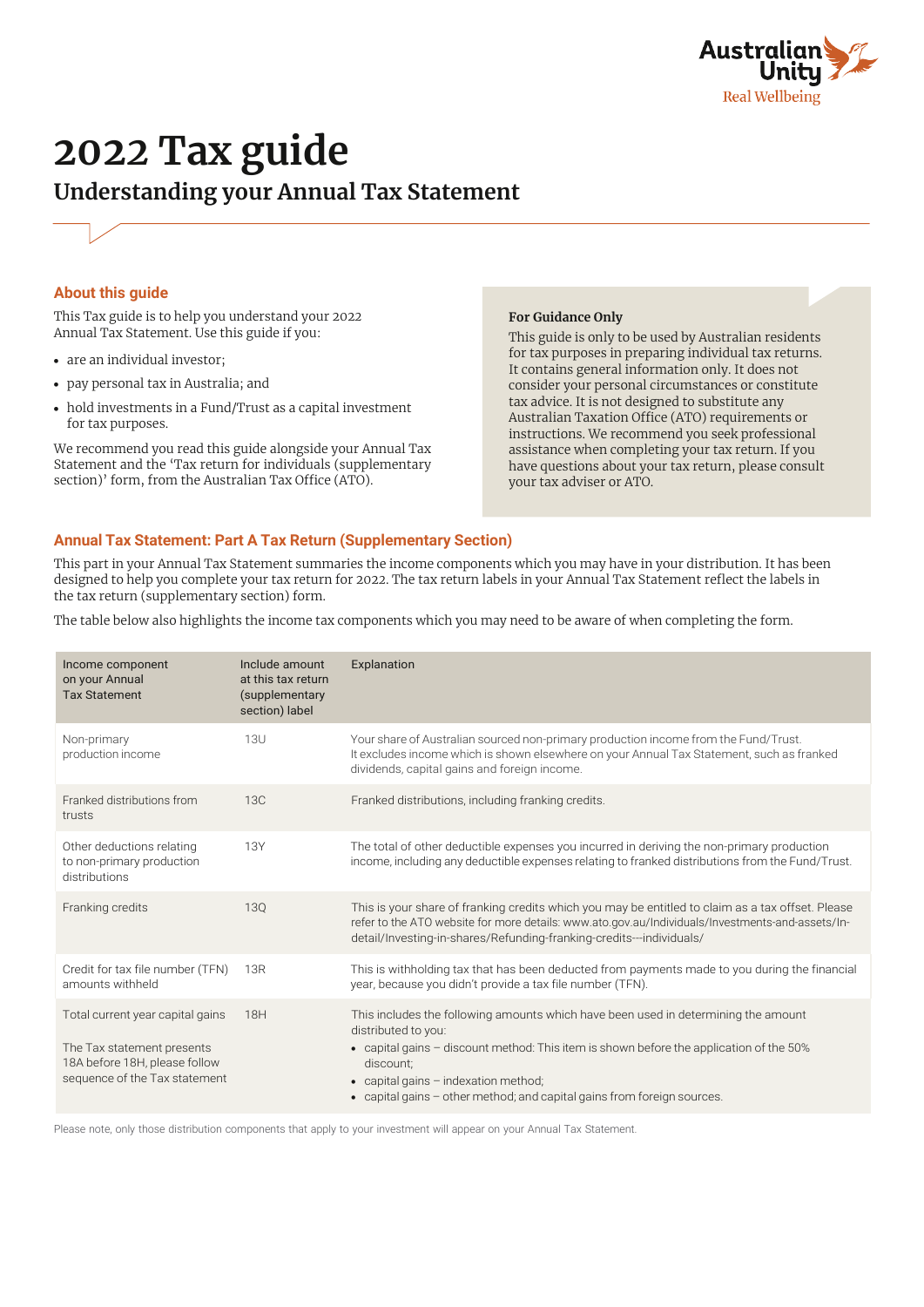

# **202***2* **Tax guide Understanding your Annual Tax Statement**

## **About this guide**

This Tax guide is to help you understand your 202*2* Annual Tax Statement. Use this guide if you:

- **•** are an individual investor;
- **•** pay personal tax in Australia; and
- **•** hold investments in a Fund/Trust as a capital investment for tax purposes.

We recommend you read this guide alongside your Annual Tax Statement and the 'Tax return for individuals (supplementary section)' form, from the Australian Tax Office (ATO).

#### **For Guidance Only**

This guide is only to be used by Australian residents for tax purposes in preparing individual tax returns. It contains general information only. It does not consider your personal circumstances or constitute tax advice. It is not designed to substitute any Australian Taxation Office (ATO) requirements or instructions. We recommend you seek professional assistance when completing your tax return. If you have questions about your tax return, please consult your tax adviser or ATO.

## **Annual Tax Statement: Part A Tax Return (Supplementary Section)**

This part in your Annual Tax Statement summaries the income components which you may have in your distribution. It has been designed to help you complete your tax return for 202*2*. The tax return labels in your Annual Tax Statement reflect the labels in the tax return (supplementary section) form.

The table below also highlights the income tax components which you may need to be aware of when completing the form.

| Income component<br>on your Annual<br><b>Tax Statement</b>                                                                       | Include amount<br>at this tax return<br>(supplementary<br>section) label | Explanation                                                                                                                                                                                                                                                                                                                                     |
|----------------------------------------------------------------------------------------------------------------------------------|--------------------------------------------------------------------------|-------------------------------------------------------------------------------------------------------------------------------------------------------------------------------------------------------------------------------------------------------------------------------------------------------------------------------------------------|
| Non-primary<br>production income                                                                                                 | <b>13U</b>                                                               | Your share of Australian sourced non-primary production income from the Fund/Trust.<br>It excludes income which is shown elsewhere on your Annual Tax Statement, such as franked<br>dividends, capital gains and foreign income.                                                                                                                |
| Franked distributions from<br>trusts                                                                                             | 13C                                                                      | Franked distributions, including franking credits.                                                                                                                                                                                                                                                                                              |
| Other deductions relating<br>to non-primary production<br>distributions                                                          | <b>13Y</b>                                                               | The total of other deductible expenses you incurred in deriving the non-primary production<br>income, including any deductible expenses relating to franked distributions from the Fund/Trust.                                                                                                                                                  |
| Franking credits                                                                                                                 | 130                                                                      | This is your share of franking credits which you may be entitled to claim as a tax offset. Please<br>refer to the ATO website for more details: www.ato.gov.au/Individuals/Investments-and-assets/In-<br>detail/Investing-in-shares/Refunding-franking-credits---individuals/                                                                   |
| Credit for tax file number (TFN)<br>amounts withheld                                                                             | 13R                                                                      | This is withholding tax that has been deducted from payments made to you during the financial<br>year, because you didn't provide a tax file number (TFN).                                                                                                                                                                                      |
| Total current year capital gains<br>The Tax statement presents<br>18A before 18H, please follow<br>sequence of the Tax statement | 18H                                                                      | This includes the following amounts which have been used in determining the amount<br>distributed to you:<br>• capital gains – discount method: This item is shown before the application of the 50%<br>discount:<br>capital gains - indexation method;<br>$\bullet$<br>• capital gains - other method; and capital gains from foreign sources. |

Please note, only those distribution components that apply to your investment will appear on your Annual Tax Statement.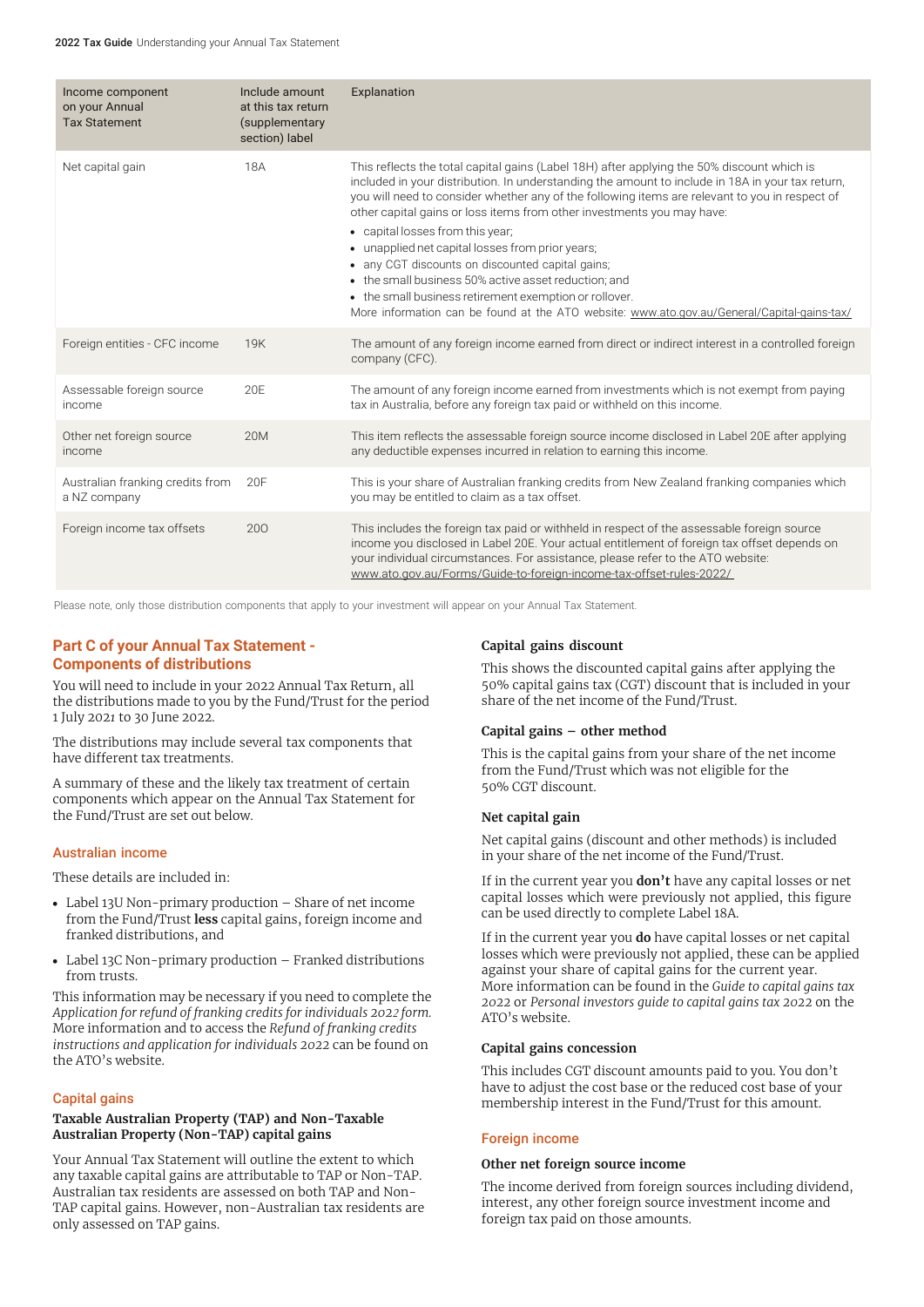| Income component<br>on your Annual<br><b>Tax Statement</b> | Include amount<br>at this tax return<br>(supplementary<br>section) label | Explanation                                                                                                                                                                                                                                                                                                                                                                                                                                                                                                                                                                                                                                                                                                                             |
|------------------------------------------------------------|--------------------------------------------------------------------------|-----------------------------------------------------------------------------------------------------------------------------------------------------------------------------------------------------------------------------------------------------------------------------------------------------------------------------------------------------------------------------------------------------------------------------------------------------------------------------------------------------------------------------------------------------------------------------------------------------------------------------------------------------------------------------------------------------------------------------------------|
| Net capital gain                                           | 18A                                                                      | This reflects the total capital gains (Label 18H) after applying the 50% discount which is<br>included in your distribution. In understanding the amount to include in 18A in your tax return,<br>you will need to consider whether any of the following items are relevant to you in respect of<br>other capital gains or loss items from other investments you may have:<br>• capital losses from this year;<br>• unapplied net capital losses from prior years;<br>• any CGT discounts on discounted capital gains;<br>• the small business 50% active asset reduction; and<br>• the small business retirement exemption or rollover.<br>More information can be found at the ATO website: www.ato.gov.au/General/Capital-gains-tax/ |
| Foreign entities - CFC income                              | 19K                                                                      | The amount of any foreign income earned from direct or indirect interest in a controlled foreign<br>company (CFC).                                                                                                                                                                                                                                                                                                                                                                                                                                                                                                                                                                                                                      |
| Assessable foreign source<br>income                        | 20F                                                                      | The amount of any foreign income earned from investments which is not exempt from paying<br>tax in Australia, before any foreign tax paid or withheld on this income.                                                                                                                                                                                                                                                                                                                                                                                                                                                                                                                                                                   |
| Other net foreign source<br>income                         | <b>20M</b>                                                               | This item reflects the assessable foreign source income disclosed in Label 20E after applying<br>any deductible expenses incurred in relation to earning this income.                                                                                                                                                                                                                                                                                                                                                                                                                                                                                                                                                                   |
| Australian franking credits from<br>a NZ company           | 20F                                                                      | This is your share of Australian franking credits from New Zealand franking companies which<br>you may be entitled to claim as a tax offset.                                                                                                                                                                                                                                                                                                                                                                                                                                                                                                                                                                                            |
| Foreign income tax offsets                                 | 200                                                                      | This includes the foreign tax paid or withheld in respect of the assessable foreign source<br>income you disclosed in Label 20E. Your actual entitlement of foreign tax offset depends on<br>your individual circumstances. For assistance, please refer to the ATO website:<br>www.ato.gov.au/Forms/Guide-to-foreign-income-tax-offset-rules-2022/                                                                                                                                                                                                                                                                                                                                                                                     |

Please note, only those distribution components that apply to your investment will appear on your Annual Tax Statement.

# **Part C of your Annual Tax Statement - Components of distributions**

You will need to include in your 202*2* Annual Tax Return, all the distributions made to you by the Fund/Trust for the period 1 July 202*1* to 30 June 2022.

The distributions may include several tax components that have different tax treatments.

A summary of these and the likely tax treatment of certain components which appear on the Annual Tax Statement for the Fund/Trust are set out below.

## Australian income

These details are included in:

- **•** Label 13U Non-primary production Share of net income from the Fund/Trust **less** capital gains, foreign income and franked distributions, and
- **•** Label 13C Non-primary production Franked distributions from trusts.

This information may be necessary if you need to complete the *Application for refund of franking credits for individuals 2022 form.* More information and to access the *Refund of franking credits instructions and application for individuals 2022* can be found on the ATO's website.

## Capital gains

# **Taxable Australian Property (TAP) and Non-Taxable Australian Property (Non-TAP) capital gains**

Your Annual Tax Statement will outline the extent to which any taxable capital gains are attributable to TAP or Non-TAP. Australian tax residents are assessed on both TAP and Non-TAP capital gains. However, non-Australian tax residents are only assessed on TAP gains.

## **Capital gains discount**

This shows the discounted capital gains after applying the 50% capital gains tax (CGT) discount that is included in your share of the net income of the Fund/Trust.

## **Capital gains – other method**

This is the capital gains from your share of the net income from the Fund/Trust which was not eligible for the 50% CGT discount.

## **Net capital gain**

Net capital gains (discount and other methods) is included in your share of the net income of the Fund/Trust.

If in the current year you **don't** have any capital losses or net capital losses which were previously not applied, this figure can be used directly to complete Label 18A.

If in the current year you **do** have capital losses or net capital losses which were previously not applied, these can be applied against your share of capital gains for the current year. More information can be found in the *Guide to capital gains tax 2022* or *Personal investors guide to capital gains tax 2022* on the ATO's website.

## **Capital gains concession**

This includes CGT discount amounts paid to you. You don't have to adjust the cost base or the reduced cost base of your membership interest in the Fund/Trust for this amount.

## Foreign income

## **Other net foreign source income**

The income derived from foreign sources including dividend, interest, any other foreign source investment income and foreign tax paid on those amounts.